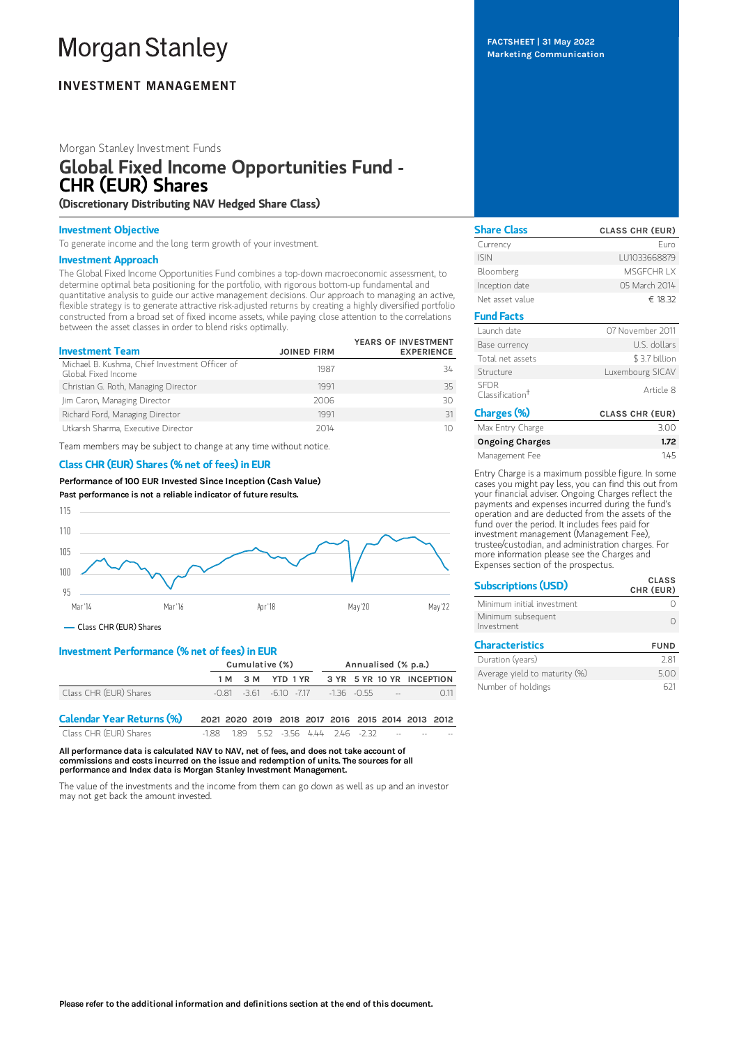# **Morgan Stanley**

# **INVESTMENT MANAGEMENT**

## Morgan Stanley Investment Funds

# Global Fixed Income Opportunities Fund - CHR (EUR) Shares

(Discretionary Distributing NAV Hedged Share Class)

#### Investment Objective

To generate income and the long term growth of your investment.

#### Investment Approach

The Global Fixed Income Opportunities Fund combines a top-down macroeconomic assessment, to determine optimal beta positioning for the portfolio, with rigorous bottom-up fundamental and quantitative analysis to guide our active management decisions. Our approach to managing an active, flexible strategy is to generate attractive risk-adjusted returns by creating a highly diversified portfolio constructed from a broad set of fixed income assets, while paying close attention to the correlations between the asset classes in order to blend risks optimally.

| <b>Investment Team</b>                                                | <b>JOINED FIRM</b> | YEARS OF INVESTMENT<br><b>EXPERIENCE</b> |
|-----------------------------------------------------------------------|--------------------|------------------------------------------|
| Michael B. Kushma, Chief Investment Officer of<br>Global Fixed Income | 1987               | 34                                       |
| Christian G. Roth, Managing Director                                  | 1991               | 35                                       |
| Jim Caron, Managing Director                                          | 2006               | 30                                       |
| Richard Ford, Managing Director                                       | 1991               | 31                                       |
| Utkarsh Sharma, Executive Director                                    | 2014               | 10                                       |

Team members may be subject to change at any time without notice.

## Class CHR (EUR) Shares (% net of fees) in EUR

Performance of 100 EUR Invested Since Inception (Cash Value) Past performance is not a reliable indicator of future results.



Class CHR (EUR) Shares

## Investment Performance (% net of fees) in EUR

|                                  | Cumulative (%)                                    |  |  |  | Annualised (% p.a.)                                     |  |  |  |     |
|----------------------------------|---------------------------------------------------|--|--|--|---------------------------------------------------------|--|--|--|-----|
|                                  |                                                   |  |  |  | 1M 3M YTD 1YR 3YR 5YR 10YR INCEPTION                    |  |  |  |     |
| Class CHR (EUR) Shares           |                                                   |  |  |  | $-0.81$ $-3.61$ $-6.10$ $-7.17$ $-1.36$ $-0.55$ $-1.36$ |  |  |  | 011 |
| <b>Calendar Year Returns (%)</b> | 2021 2020 2019 2018 2017 2016 2015 2014 2013 2012 |  |  |  |                                                         |  |  |  |     |

| Calcillar I car Noturiis (707) |                                       |  |  | LULI LULU LUIU LUIO LUII LUIO LUIU LUI4 LUIO LUIL |                                  |       |       |
|--------------------------------|---------------------------------------|--|--|---------------------------------------------------|----------------------------------|-------|-------|
| Class CHR (EUR) Shares         | -1.88 1.89 5.52 -3.56 4.44 2.46 -2.32 |  |  |                                                   | <b>Service Contract Contract</b> | $- -$ | $- -$ |

All performance data is calculated NAV to NAV, net of fees, and does not take account of commissions and costs incurred on the issue and redemption of units. The sources for all performance and Index data is Morgan Stanley Investment Management.

The value of the investments and the income from them can go down as well as up and an investor may not get back the amount invested.

FACTSHEET | 31 May 2022 Marketing Communication

| <b>Share Class</b>                         | <b>CLASS CHR (EUR)</b> |  |  |
|--------------------------------------------|------------------------|--|--|
| Currency                                   | Furo                   |  |  |
| <b>ISIN</b>                                | LU1033668879           |  |  |
| Bloomberg                                  | MSGECHR IX             |  |  |
| Inception date                             | 05 March 2014          |  |  |
| Net asset value                            | € 18.32                |  |  |
| <b>Fund Facts</b>                          |                        |  |  |
| Launch date                                | 07 November 2011       |  |  |
| U.S. dollars<br>Base currency              |                        |  |  |
| Total net assets                           | \$3.7 billion          |  |  |
| Structure                                  | Luxembourg SICAV       |  |  |
| <b>SFDR</b><br>Classification <sup>†</sup> | Article 8              |  |  |
| Charges (%)                                | <b>CLASS CHR (EUR)</b> |  |  |
| Max Entry Charge                           | 3.00                   |  |  |
| <b>Ongoing Charges</b>                     | 1.72                   |  |  |
| Management Fee                             | 1.45                   |  |  |

Entry Charge is a maximum possible figure. In some cases you might pay less, you can find this out from your financial adviser. Ongoing Charges reflect the payments and expenses incurred during the fund's operation and are deducted from the assets of the fund over the period. It includes fees paid for investment management (Management Fee), trustee/custodian, and administration charges. For more information please see the Charges and Expenses section of the prospectus.

| <b>Subscriptions (USD)</b>       | <b>CLASS</b><br>CHR (EUR) |
|----------------------------------|---------------------------|
| Minimum initial investment       |                           |
| Minimum subsequent<br>Investment |                           |
| <b>Characteristics</b>           | <b>FUND</b>               |

| Duration (years)              | 281  |
|-------------------------------|------|
| Average yield to maturity (%) | 5.00 |
| Number of holdings            | 621  |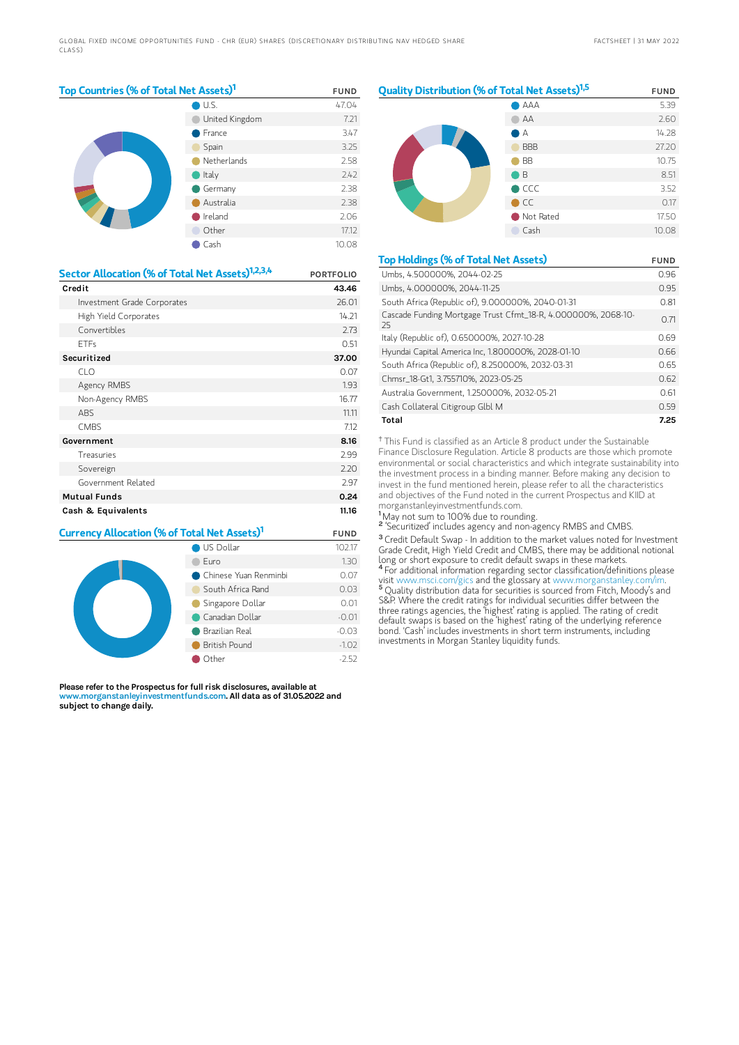| Top Countries (% of Total Net Assets) <sup>1</sup> | <b>FUND</b> |
|----------------------------------------------------|-------------|
|----------------------------------------------------|-------------|

|  | U.S.           | 47.04 |
|--|----------------|-------|
|  | United Kingdom | 7.21  |
|  | France         | 3.47  |
|  | Spain          | 3.25  |
|  | Netherlands    | 2.58  |
|  | Italy          | 2.42  |
|  | Germany        | 2.38  |
|  | Australia      | 2.38  |
|  | Ireland        | 2.06  |
|  | Other          | 17.12 |
|  | Cash           | 10.08 |

| Sector Allocation (% of Total Net Assets) <sup>1,2,3,4</sup> | <b>PORTFOLIO</b> |
|--------------------------------------------------------------|------------------|
| Credit                                                       | 43.46            |
| Investment Grade Corporates                                  | 26.01            |
| High Yield Corporates                                        | 14.21            |
| Convertibles                                                 | 2.73             |
| <b>ETFs</b>                                                  | 0.51             |
| Securitized                                                  | 37.00            |
| CLO                                                          | 0.07             |
| Agency RMBS                                                  | 1.93             |
| Non-Agency RMBS                                              | 16.77            |
| ABS                                                          | 11.11            |
| <b>CMBS</b>                                                  | 7.12             |
| Government                                                   | 8.16             |
| Treasuries                                                   | 2.99             |
| Sovereign                                                    | 2.20             |
| Government Related                                           | 2.97             |
| <b>Mutual Funds</b>                                          | 0.24             |
| Cash & Equivalents                                           | 11.16            |

| Currency Allocation (% of Total Net Assets) <sup>1</sup> | <b>FUND</b>           |         |
|----------------------------------------------------------|-----------------------|---------|
|                                                          | 102.17                |         |
|                                                          | Furo                  | 1.30    |
|                                                          | Chinese Yuan Renminbi | 0.07    |
|                                                          | South Africa Rand     | 0.03    |
|                                                          | Singapore Dollar      | 0.01    |
|                                                          | Canadian Dollar       | $-0.01$ |
|                                                          | Brazilian Real        | $-0.03$ |
|                                                          | British Pound         | $-1.02$ |
|                                                          | Other                 | $-2.52$ |

Please refer to the Prospectus for full risk disclosures, available at www.morganstanleyinvestmentfunds.com. All data as of 31.05.2022 and subject to change daily.



| <b>Top Holdings (% of Total Net Assets)</b>                         | <b>FUND</b> |
|---------------------------------------------------------------------|-------------|
| Umbs, 4.500000%, 2044-02-25                                         | 0.96        |
| Umbs. 4.000000%. 2044-11-25                                         | 0.95        |
| South Africa (Republic of), 9.000000%, 2040-01-31                   | 0.81        |
| Cascade Funding Mortgage Trust Cfmt_18-R, 4.000000%, 2068-10-<br>25 | 0.71        |
| Italy (Republic of), 0.650000%, 2027-10-28                          | 0.69        |
| Hyundai Capital America Inc, 1.800000%, 2028-01-10                  | 0.66        |
| South Africa (Republic of), 8.250000%, 2032-03-31                   | O 65        |
| Chmsr 18-Gt1, 3.755710%, 2023-05-25                                 | 0.62        |
| Australia Government, 1.250000%, 2032-05-21                         | 0.61        |
| Cash Collateral Citigroup Glbl M                                    | 0.59        |
| Total                                                               | 7.25        |

<sup>†</sup> This Fund is classified as an Article 8 product under the Sustainable Finance Disclosure Regulation. Article 8 products are those which promote environmental or social characteristics and which integrate sustainability into the investment process in a binding manner. Before making any decision to invest in the fund mentioned herein, please refer to all the characteristics and objectives of the Fund noted in the current Prospectus and KIID at morganstanleyinvestmentfunds.com.

<sup>1</sup>May not sum to 100% due to rounding.

<sup>2</sup> 'Securitized' includes agency and non-agency RMBS and CMBS.

<sup>3</sup> Credit Default Swap - In addition to the market values noted for Investment Grade Credit, High Yield Credit and CMBS, there may be additional notional long or short exposure to credit default swaps in these markets. <sup>4</sup> For additional information regarding sector classification/definitions please

visit www.msci.com/gics and the glossary at www.morganstanley.com/im. <sup>5</sup> Quality distribution data for securities is sourced from Fitch, Moody's and S&P. Where the credit ratings for individual securities differ between the three ratings agencies, the 'highest' rating is applied. The rating of credit default swaps is based on the 'highest' rating of the underlying reference bond. 'Cash' includes investments in short term instruments, including investments in Morgan Stanley liquidity funds.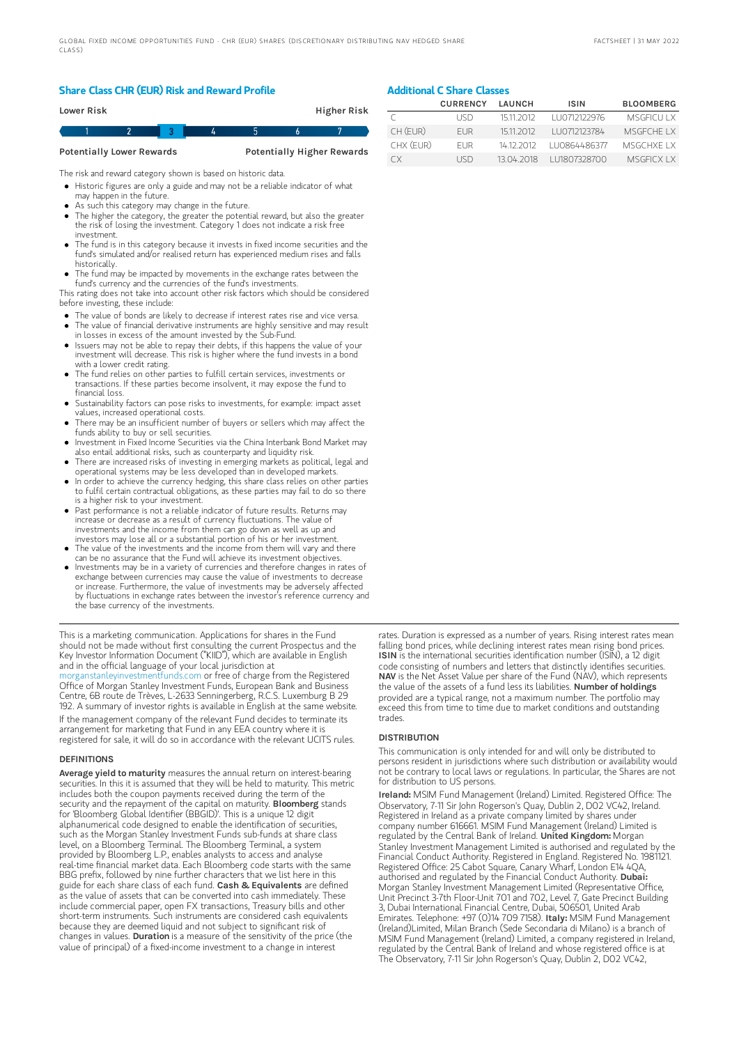## Share Class CHR (EUR) Risk and Reward Profile

|                                  | Lower Risk |  |  |  |  | Higher Risk                       |
|----------------------------------|------------|--|--|--|--|-----------------------------------|
|                                  |            |  |  |  |  |                                   |
| <b>Potentially Lower Rewards</b> |            |  |  |  |  | <b>Potentially Higher Rewards</b> |

The risk and reward category shown is based on historic data.

- Historic figures are only a guide and may not be a reliable indicator of what may happen in the future.
- As such this category may change in the future.
- The higher the category, the greater the potential reward, but also the greater the risk of losing the investment. Category 1 does not indicate a risk free investment.
- The fund is in this category because it invests in fixed income securities and the fund's simulated and/or realised return has experienced medium rises and falls historically.
- The fund may be impacted by movements in the exchange rates between the fund's currency and the currencies of the fund's investments.

This rating does not take into account other risk factors which should be considered before investing, these include:

- The value of bonds are likely to decrease if interest rates rise and vice versa.
- The value of financial derivative instruments are highly sensitive and may result in losses in excess of the amount invested by the Sub-Fund.
- Issuers may not be able to repay their debts, if this happens the value of your investment will decrease. This risk is higher where the fund invests in a bond with a lower credit rating.
- The fund relies on other parties to fulfill certain services, investments or transactions. If these parties become insolvent, it may expose the fund to financial loss.
- Sustainability factors can pose risks to investments, for example: impact asset values, increased operational costs.
- There may be an insufficient number of buyers or sellers which may affect the funds ability to buy or sell securities.
- Investment in Fixed Income Securities via the China Interbank Bond Market may also entail additional risks, such as counterparty and liquidity risk.
- There are increased risks of investing in emerging markets as political, legal and operational systems may be less developed than in developed markets.
- In order to achieve the currency hedging, this share class relies on other parties to fulfil certain contractual obligations, as these parties may fail to do so there is a higher risk to your investment.
- Past performance is not a reliable indicator of future results. Returns may increase or decrease as a result of currency fluctuations. The value of investments and the income from them can go down as well as up and investors may lose all or a substantial portion of his or her investment.
- The value of the investments and the income from them will vary and there can be no assurance that the Fund will achieve its investment objectives.
- Investments may be in a variety of currencies and therefore changes in rates of exchange between currencies may cause the value of investments to decrease or increase. Furthermore, the value of investments may be adversely affected by fluctuations in exchange rates between the investor's reference currency and the base currency of the investments.

This is a marketing communication. Applications for shares in the Fund should not be made without first consulting the current Prospectus and the Key Investor Information Document ("KIID"), which are available in English and in the official language of your local jurisdiction at

[morganstanleyinvestmentfunds.com](https://www.morganstanley.com/im/msinvf/index.html) or free of charge from the Registered Office of Morgan Stanley Investment Funds, European Bank and Business Centre, 6B route de Trèves, L-2633 Senningerberg, R.C.S. Luxemburg B 29 192. A summary of investor rights is available in English at the same website.

If the management company of the relevant Fund decides to terminate its arrangement for marketing that Fund in any EEA country where it is registered for sale, it will do so in accordance with the relevant UCITS rules.

#### **DEFINITIONS**

Average yield to maturity measures the annual return on interest-bearing securities. In this it is assumed that they will be held to maturity. This metric includes both the coupon payments received during the term of the security and the repayment of the capital on maturity. **Bloomberg** stands for 'Bloomberg Global Identifier (BBGID)'. This is a unique 12 digit alphanumerical code designed to enable the identification of securities, such as the Morgan Stanley Investment Funds sub-funds at share class level, on a Bloomberg Terminal. The Bloomberg Terminal, a system provided by Bloomberg L.P., enables analysts to access and analyse real-time financial market data. Each Bloomberg code starts with the same BBG prefix, followed by nine further characters that we list here in this guide for each share class of each fund. Cash & Equivalents are defined as the value of assets that can be converted into cash immediately. These include commercial paper, open FX transactions, Treasury bills and other short-term instruments. Such instruments are considered cash equivalents because they are deemed liquid and not subject to significant risk of changes in values. Duration is a measure of the sensitivity of the price (the value of principal) of a fixed-income investment to a change in interest

# Additional C Share Classes

|           | <b>CURRENCY</b> | LAUNCH     | <b>ISIN</b>  | <b>BLOOMBERG</b>  |
|-----------|-----------------|------------|--------------|-------------------|
|           | LISD.           | 1511 2012  | LU0712122976 | <b>MSGEICULLX</b> |
| CH (EUR)  | FUR.            | 15112012   | LU0712123784 | MSGECHE IX        |
| CHX (FUR) | <b>FUR</b>      | 14 12 2012 | LU0864486377 | MSGCHXE I X       |
| СX        | <b>IISD</b>     | 13.04.2018 | LU1807328700 | <b>MSGFICX LX</b> |

rates. Duration is expressed as a number of years. Rising interest rates mean falling bond prices, while declining interest rates mean rising bond prices. ISIN is the international securities identification number (ISIN), a 12 digit code consisting of numbers and letters that distinctly identifies securities. NAV is the Net Asset Value per share of the Fund (NAV), which represents the value of the assets of a fund less its liabilities. Number of holdings provided are a typical range, not a maximum number. The portfolio may exceed this from time to time due to market conditions and outstanding trades.

#### **DISTRIBUTION**

This communication is only intended for and will only be distributed to persons resident in jurisdictions where such distribution or availability would not be contrary to local laws or regulations. In particular, the Shares are not for distribution to US persons.

Ireland: MSIM Fund Management (Ireland) Limited. Registered Office: The Observatory, 7-11 Sir John Rogerson's Quay, Dublin 2, DO2 VC42, Ireland. Registered in Ireland as a private company limited by shares under company number 616661. MSIM Fund Management (Ireland) Limited is regulated by the Central Bank of Ireland. United Kingdom: Morgan Stanley Investment Management Limited is authorised and regulated by the Financial Conduct Authority. Registered in England. Registered No. 1981121. Registered Office: 25 Cabot Square, Canary Wharf, London E14 4QA, authorised and regulated by the Financial Conduct Authority. Dubai: Morgan Stanley Investment Management Limited (Representative Office, Unit Precinct 3-7th Floor-Unit 701 and 702, Level 7, Gate Precinct Building 3, Dubai International Financial Centre, Dubai, 506501, United Arab Emirates. Telephone: +97 (0)14 709 7158). Italy: MSIM Fund Management (Ireland)Limited, Milan Branch (Sede Secondaria di Milano) is a branch of MSIM Fund Management (Ireland) Limited, a company registered in Ireland, regulated by the Central Bank of Ireland and whose registered office is at The Observatory, 7-11 Sir John Rogerson's Quay, Dublin 2, D02 VC42,